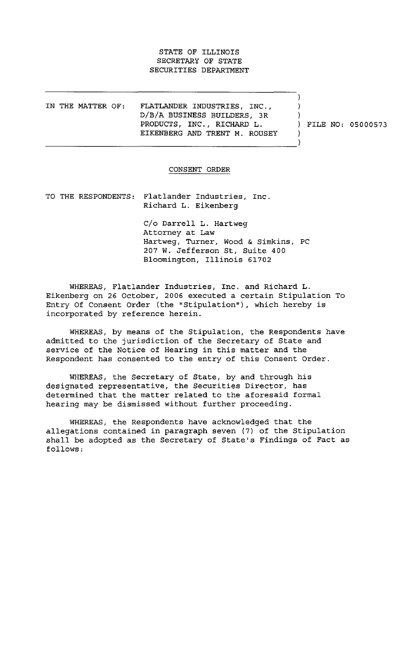## STATE OF ILLINOIS SECRETARY OF STATE SECURITIES DEPARTMENT

IN THE MATTER OF: FLATLANDER INDUSTRIES, INC., D/B/A BUSINESS BUILDERS, 3R PRODUCTS, INC., RICHARD L. EIKENBERG AND TRENT M. ROUSEY

FILE NO: 05000573

 $\lambda$  $\lambda$  $\lambda$ 

-). -)

## CONSENT ORDER

TO THE RESPONDENTS: Flatlander Industries, Inc. Richard L. Eikenberg

> C/o Darrell L. Hartweg Attorney at Law Hartweg, Turner, Wood & Simkins, PC 207 W. Jefferson St, Suite 400 Bloomington, Illinois 61702

WHEREAS, Flatlander Industries, Inc. and Richard L. Eikenberg on 26 October, 2006 executed a certain Stipulation To Entry Of Consent Order (the "Stipulation"), which hereby is incorporated by reference herein.

WHEREAS, by means of the Stipulation, the Respondents have admitted to the jurisdiction of the Secretary of State and service of the Notice of Hearing in this matter and the Respondent has consented to the entry of this Consent Order.

WHEREAS, the Secretary of State, by and through his designated representative, the Securities Director, has determined that the matter related to the aforesaid formal hearing may be dismissed without further proceeding.

WHEREAS, the Respondents have acknowledged that the allegations contained in paragraph seven (7) of the Stipulation shall be adopted as the Secretary of State's Findings of Fact as follows :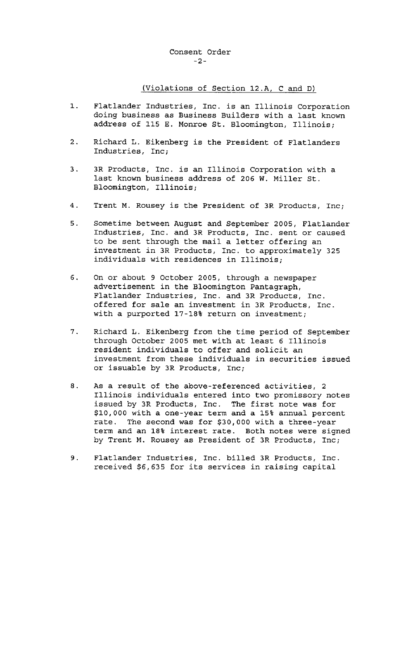(Violations of Section 12.A, C and D)

- 1. Flatlander Industries, Inc. is an Illinois Corporation doing business as Business Builders with a last known address of 115 E. Monroe St. Bloomington, Illinois;
- 2. Richard L. Eikenberg is the President of Flatlanders Industries, Inc;
- 3. 3R Products, Inc. is an Illinois Corporation with a last known business address of 206 W. Miller St. Bloomington, Illinois ;
- 4. Trent M. Rousey is the President of 3R Products, Inc;
- 5. Sometime between August and September 2005, Flatlander Industries, Inc. and 3R Products, Inc. sent or caused to be sent through the mail a letter offering an investment in 3R Products, Inc. to approximately 325 individuals with residences in Illinois;
- 6. On or about 9 October 2005, through a newspaper advertisement in the Bloomington Pantagraph, Flatlander Industries, Inc. and 3R Products, Inc. offered for sale an investment in 3R Products, Inc. with a purported  $17-18$  return on investment;
- 7. Richard L. Eikenberg from the time period of September through October 2005 met with at least 6 Illinois resident individuals to offer and solicit an investment from these individuals in securities issued or issuable by  $3R$  Products, Inc;
- 8. As a result of the above-referenced activities, 2 Illinois individuals entered into two promissory notes issued by 3R Products, Inc. The first note was for \$10,000 with a one-year term and a 15% annual percent rate. The second was for \$30,000 with a three-year term and an 18% interest rate. Both notes were signed by Trent M. Rousey as President of 3R Products, Inc;
- 9. Flatlander Industries, Inc. billed 3R Products, Inc. received \$6,635 for its services in raising capital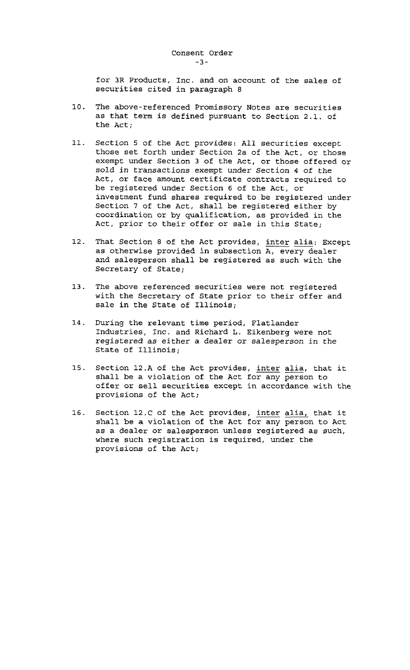for 3R Products, Inc. and on account of the sales of securities cited in paragraph 8

- 10. The above-referenced Promissory Notes are securities as that term is defined pursuant to Section 2.1. of the Act;
- 11. Section 5 of the Act provides: All securities except those set forth under Section 2a of the Act, or those exempt under Section 3 of the Act, or those offered or sold in transactions exempt under Section 4 of the Act, or face amount certificate contracts required to be registered under Section 6 of the Act, or investment fund shares required to be registered under Section 7 of the Act, shall be registered either by coordination or by qualification, as provided in the Act, prior to their offer or sale in this State;
- 12. That Section 8 of the Act provides, inter alia: Except as otherwise provided in subsection  $\overline{A}$ , every dealer and salesperson shall be registered as such with the Secretary of State;
- 13. The above referenced securities were not registered with the Secretary of State prior to their offer and sale in the State of Illinois;
- 14. During the relevant time period, Flatlander Industries, Inc. and Richard L. Eikenberg were not registered as either a dealer or salesperson in the State of Illinois ;
- 15. Section 12.A of the Act provides, inter alia, that it shall be a violation of the Act for any person to offer or sell securities except in accordance with the provisions of the Act;
- 16. Section 12.C of the Act provides, inter alia, that it shall be a violation of the Act for any person to Act as a dealer or salesperson unless registered as such, where such registration is required, under the provisions of the Act;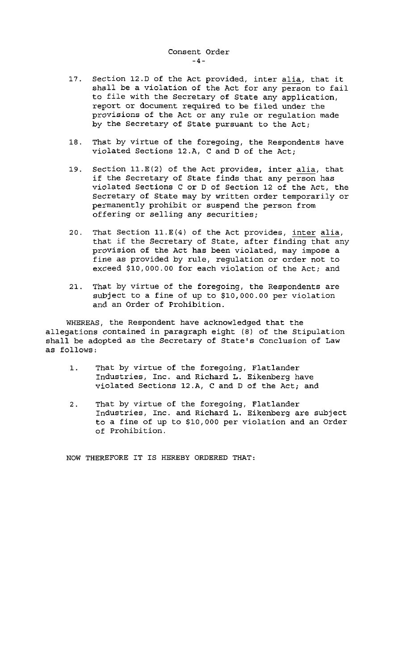- 17. Section 12.D of the Act provided, inter alia, that it shall be a violation of the Act for any person to fail to file with the Secretary of State any application, report or document required to be filed under the provisions of the Act or any rule or regulation made by the Secretary of State pursuant to the Act;
- 18. That by virtue of the foregoing, the Respondents have violated Sections 12.A,  $C$  and  $D$  of the Act;
- 19. Section  $11.E(2)$  of the Act provides, inter alia, that if the Secretary of State finds that any person has violated Sections C or D of Section 12 of the Act, the Secretary of State may by written order temporarily or permanently prohibit or suspend the person from offering or selling any securities;
- 20. That Section 11.E(4) of the Act provides, inter alia, that if the Secretary of State, after finding that any provision of the Act has been violated, may impose a fine as provided by rule, regulation or order not to exceed \$10,000.00 for each violation of the Act; and
- 21. That by virtue of the foregoing, the Respondents are subject to a fine of up to \$10,000.00 per violation and an Order of Prohibition.

WHEREAS, the Respondent have acknowledged that the allegations contained in paragraph eight (8) of the Stipulation shall be adopted as the Secretary of State's Conclusion of Law as follows :

- 1. That by virtue of the foregoing, Flatlander Industries, Inc. and Richard L. Eikenberg have violated Sections 12.A,  $C$  and  $D$  of the Act; and
- 2. That by virtue of the foregoing, Flatlander Industries, Inc. and Richard L. Eikenberg are subject to a fine of up to \$10,000 per violation and an Order of Prohibition .

NOW THEREFORE IT IS HEREBY ORDERED THAT: